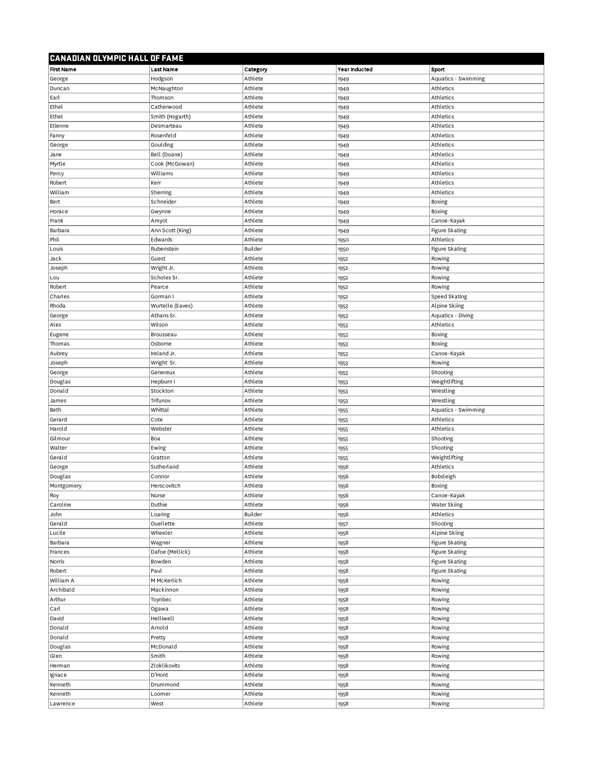| <b>CANADIAN OLYMPIC HALL OF FAME</b> |                  |          |               |                       |
|--------------------------------------|------------------|----------|---------------|-----------------------|
| <b>First Name</b>                    | <b>Last Name</b> | Category | Year Inducted | Sport                 |
| George                               | Hodgson          | Athlete  | 1949          | Aquatics - Swimming   |
| Duncan                               | McNaughton       | Athlete  | 1949          | Athletics             |
| Earl                                 | Thomson          | Athlete  | 1949          | Athletics             |
| Ethel                                | Catherwood       | Athlete  | 1949          | Athletics             |
| Ethel                                | Smith (Hogarth)  | Athlete  | 1949          | Athletics             |
| Etienne                              | Desmarteau       | Athlete  | 1949          | Athletics             |
| Fanny                                | Rosenfeld        | Athlete  | 1949          | Athletics             |
| George                               | Goulding         | Athlete  | 1949          | Athletics             |
| Jane                                 | Bell (Doane)     | Athlete  | 1949          | Athletics             |
| Myrtle                               | Cook (McGowan)   | Athlete  | 1949          | Athletics             |
| Percy                                | Williams         | Athlete  | 1949          | Athletics             |
| Robert                               | Kerr             | Athlete  | 1949          | Athletics             |
| William                              | Sherring         | Athlete  | 1949          | Athletics             |
| Bert                                 | Schneider        | Athlete  | 1949          | Boxing                |
| Horace                               | Gwynne           | Athlete  | 1949          | Boxing                |
| Frank                                | Amyot            | Athlete  | 1949          | Canoe-Kayak           |
| Barbara                              | Ann Scott (King) | Athlete  | 1949          | <b>Figure Skating</b> |
| Phil                                 | Edwards          | Athlete  | 1950          | Athletics             |
| Louis                                | Rubenstein       | Builder  | 1950          | Figure Skating        |
| Jack                                 | Guest            | Athlete  | 1952          | Rowing                |
| Joseph                               | Wright Jr.       | Athlete  | 1952          | Rowing                |
| Lou                                  | Scholes Sr.      | Athlete  | 1952          | Rowing                |
| Robert                               | Pearce           | Athlete  | 1952          | Rowing                |
| Charles                              | Gorman I         | Athlete  | 1952          | Speed Skating         |
| Rhoda                                | Wurtelle (Eaves) | Athlete  | 1953          | Alpine Skiing         |
| George                               | Athans Sr.       | Athlete  | 1953          | Aquatics - Diving     |
| Alex                                 | Wilson           | Athlete  | 1953          | Athletics             |
| Eugene                               | Brousseau        | Athlete  | 1953          | Boxing                |
| Thomas                               | Osborne          | Athlete  | 1953          | Boxing                |
| Aubrey                               | Ireland Jr.      | Athlete  | 1953          | Canoe-Kayak           |
| Joseph                               | Wright Sr.       | Athlete  | 1953          | Rowing                |
| George                               | Genereux         | Athlete  | 1953          | Shooting              |
| Douglas                              | Hepburn I        | Athlete  | 1953          | Weightlifting         |
| Donald                               | Stockton         | Athlete  | 1953          | Wrestling             |
| James                                | Trifunov         | Athlete  | 1953          | Wrestling             |
| Beth                                 | Whittal          | Athlete  | 1955          | Aquatics - Swimming   |
| Gerard                               | Cote             | Athlete  | 1955          | Athletics             |
| Harold                               | Webster          | Athlete  | 1955          | Athletics             |
| Gilmour                              | Boa              | Athlete  | 1955          | Shooting              |
| Walter                               | Ewing            | Athlete  | 1955          | Shooting              |
| Gerald                               | Gratton          | Athlete  | 1955          | Weightlifting         |
| George                               | Sutherland       | Athlete  | 1956          | Athletics             |
| Douglas                              | Connor           | Athlete  | 1956          | Bobsleigh             |
| Montgomery                           | Herscovitch      | Athlete  | 1956          | Boxing                |
| Roy                                  | Nurse            | Athlete  | 1956          | Canoe-Kayak           |
| Caroline                             | Duthie           | Athlete  | 1956          | Water Skiing          |
| John                                 | Loaring          | Builder  | 1956          | Athletics             |
| Gerald                               | Ouellette        | Athlete  | 1957          | Shooting              |
| Lucile                               | Wheeler          | Athlete  | 1958          | Alpine Skiing         |
| Barbara                              | Wagner           | Athlete  | 1958          | <b>Figure Skating</b> |
| Frances                              | Dafoe (Mellick)  | Athlete  | 1958          | <b>Figure Skating</b> |
| Norris                               | Bowden           | Athlete  | 1958          | <b>Figure Skating</b> |
| Robert                               | Paul             | Athlete  | 1958          | Figure Skating        |
| William A                            | M McKerlich      | Athlete  | 1958          | Rowing                |
| Archibald                            | Mackinnon        | Athlete  | 1958          | Rowing                |
| Arthur                               | Toynbec          | Athlete  | 1958          | Rowing                |
| Carl                                 | Ogawa            | Athlete  | 1958          | Rowing                |
| David                                | Helliwell        | Athlete  |               | Rowing                |
| Donald                               | Arnold           | Athlete  | 1958          |                       |
|                                      |                  |          | 1958          | Rowing                |
| Donald                               | Pretty           | Athlete  | 1958          | Rowing                |
| Douglas                              | McDonald         | Athlete  | 1958          | Rowing                |
| Glen                                 | Smith            | Athlete  | 1958          | Rowing                |
| Herman                               | Zloklikovits     | Athlete  | 1958          | Rowing                |
| Ignace                               | D'Hont           | Athlete  | 1958          | Rowing                |
| Kenneth                              | Drummond         | Athlete  | 1958          | Rowing                |
| Kenneth                              | Loomer           | Athlete  | 1958          | Rowing                |
| Lawrence                             | West             | Athlete  | 1958          | Rowing                |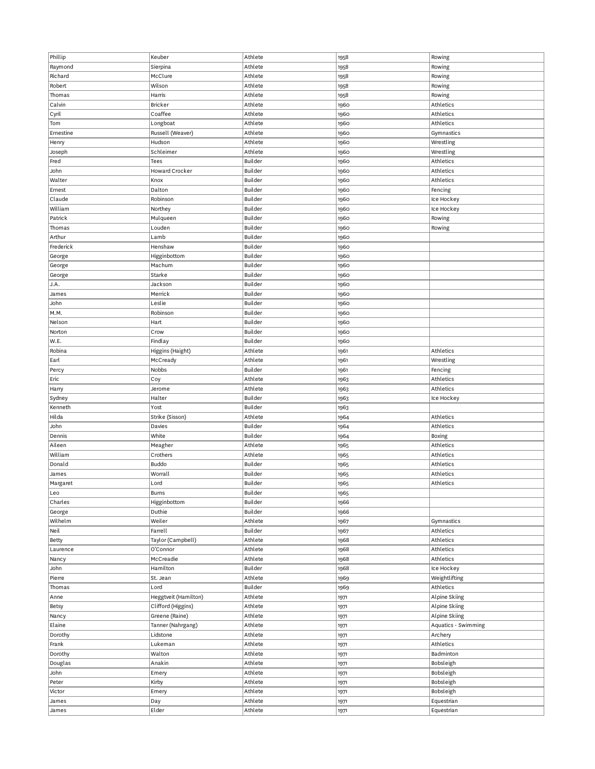| Phillip        | Keuber               | Athlete            | 1958         | Rowing                   |
|----------------|----------------------|--------------------|--------------|--------------------------|
| Raymond        | Sierpina             | Athlete            | 1958         | Rowing                   |
| Richard        | McClure              | Athlete            | 1958         | Rowing                   |
| Robert         | Wilson               | Athlete            | 1958         | Rowing                   |
|                |                      |                    |              |                          |
| Thomas         | Harris               | Athlete            | 1958         | Rowing                   |
| Calvin         | <b>Bricker</b>       | Athlete            | 1960         | Athletics                |
| Cyril          | Coaffee              | Athlete            | 1960         | Athletics                |
| Tom            | Longboat             | Athlete            | 1960         | Athletics                |
| Ernestine      | Russell (Weaver)     | Athlete            | 1960         | Gymnastics               |
| Henry          | Hudson               | Athlete            | 1960         | Wrestling                |
| Joseph         | Schleimer            | Athlete            | 1960         | Wrestling                |
|                |                      |                    |              |                          |
| Fred           | Tees                 | Builder            | 1960         | Athletics                |
| John           | Howard Crocker       | Builder            | 1960         | Athletics                |
| Walter         | Knox                 | Builder            | 1960         | Athletics                |
| Ernest         | Dalton               | Builder            | 1960         | Fencing                  |
| Claude         | Robinson             | Builder            | 1960         | Ice Hockey               |
| William        | Northey              | Builder            | 1960         | Ice Hockey               |
| Patrick        | Mulqueen             | Builder            | 1960         | Rowing                   |
|                |                      |                    |              |                          |
| Thomas         | Louden               | Builder            | 1960         | Rowing                   |
| Arthur         | Lamb                 | Builder            | 1960         |                          |
| Frederick      | Henshaw              | Builder            | 1960         |                          |
| George         | Higginbottom         | Builder            | 1960         |                          |
| George         | Machum               | Builder            | 1960         |                          |
| George         | Starke               | Builder            | 1960         |                          |
| J.A.           | Jackson              | Builder            | 1960         |                          |
|                |                      |                    |              |                          |
| James          | Merrick              | Builder            | 1960         |                          |
| John           | Leslie               | Builder            | 1960         |                          |
| M.M.           | Robinson             | Builder            | 1960         |                          |
| Nelson         | Hart                 | Builder            | 1960         |                          |
| Norton         | Crow                 | Builder            | 1960         |                          |
| W.E.           | Findlay              | Builder            | 1960         |                          |
| Robina         | Higgins (Haight)     | Athlete            | 1961         | Athletics                |
|                |                      |                    |              |                          |
| Earl           | McCready             | Athlete            | 1961         | Wrestling                |
| Percy          | Nobbs                | Builder            | 1961         | Fencing                  |
| Eric           | Coy                  | Athlete            | 1963         | Athletics                |
| Harry          | Jerome               | Athlete            | 1963         | Athletics                |
| Sydney         | Halter               | Builder            | 1963         | Ice Hockey               |
| Kenneth        | Yost                 | Builder            | 1963         |                          |
| Hilda          | Strike (Sisson)      | Athlete            | 1964         | Athletics                |
| John           |                      | Builder            |              | Athletics                |
|                | Davies               |                    | 1964         |                          |
| Dennis         | White                | Builder            | 1964         | Boxing                   |
| Aileen         | Meagher              | Athlete            | 1965         | Athletics                |
| William        | Crothers             | Athlete            | 1965         | Athletics                |
| Donald         | Buddo                | Builder            | 1965         | Athletics                |
| James          | Worrall              | Builder            | 1965         | Athletics                |
| Margaret       | Lord                 | Builder            | 1965         | Athletics                |
|                | Burns                | Builder            |              |                          |
| Leo            |                      |                    | 1965         |                          |
| Charles        |                      |                    |              |                          |
|                | Higginbottom         | Builder            | 1966         |                          |
| George         | Duthie               | Builder            | 1966         |                          |
| Wilhelm        | Weiler               | Athlete            | 1967         | Gymnastics               |
| Neil           | Farrell              | Builder            | 1967         | Athletics                |
|                |                      | Athlete            | 1968         | Athletics                |
| Betty          | Taylor (Campbell)    |                    |              |                          |
| Laurence       | O'Connor             | Athlete            | 1968         | Athletics                |
| Nancy          | McCreadie            | Athlete            | 1968         | Athletics                |
| John           | Hamilton             | Builder            | 1968         | Ice Hockey               |
| Pierre         | St. Jean             | Athlete            | 1969         | Weightlifting            |
| Thomas         | Lord                 | Builder            | 1969         | Athletics                |
| Anne           | Heggtveit (Hamilton) | Athlete            | 1971         | Alpine Skiing            |
| Betsy          | Clifford (Higgins)   | Athlete            | 1971         | Alpine Skiing            |
|                |                      |                    |              |                          |
| Nancy          | Greene (Raine)       | Athlete            | 1971         | Alpine Skiing            |
| Elaine         | Tanner (Nahrgang)    | Athlete            | 1971         | Aquatics - Swimming      |
| Dorothy        | Lidstone             | Athlete            | 1971         | Archery                  |
| Frank          | Lukeman              | Athlete            | 1971         | Athletics                |
| Dorothy        | Walton               | Athlete            | 1971         | Badminton                |
| Douglas        | Anakin               | Athlete            | 1971         | Bobsleigh                |
| John           | Emery                | Athlete            | 1971         | Bobsleigh                |
|                |                      |                    |              |                          |
| Peter          | Kirby                | Athlete            | 1971         | Bobsleigh                |
| Victor         | Emery                | Athlete            | 1971         | Bobsleigh                |
| James<br>James | Day<br>Elder         | Athlete<br>Athlete | 1971<br>1971 | Equestrian<br>Equestrian |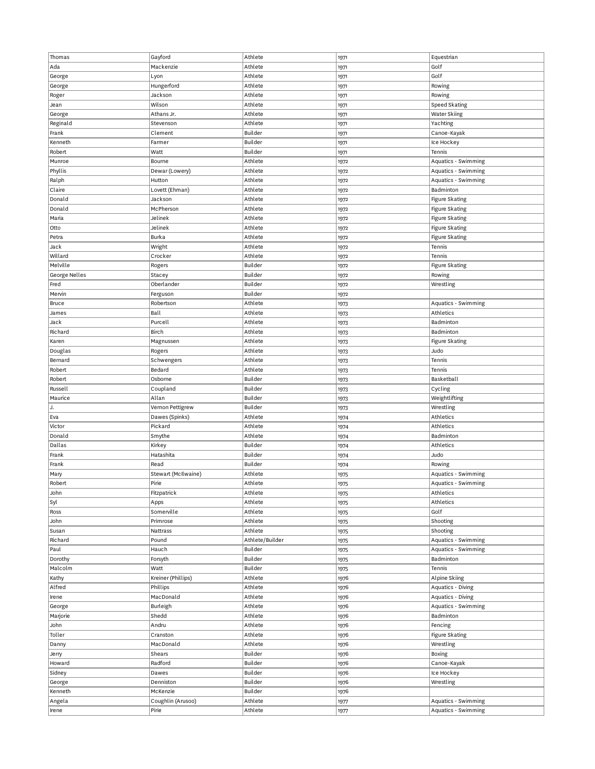| Thomas        | Gayford             | Athlete         | 1971 | Equestrian            |
|---------------|---------------------|-----------------|------|-----------------------|
| Ada           | Mackenzie           | Athlete         | 1971 | Golf                  |
| George        | Lyon                | Athlete         | 1971 | Golf                  |
| George        | Hungerford          | Athlete         | 1971 | Rowing                |
| Roger         | Jackson             | Athlete         |      | Rowing                |
|               |                     |                 | 1971 |                       |
| Jean          | Wilson              | Athlete         | 1971 | Speed Skating         |
| George        | Athans Jr.          | Athlete         | 1971 | Water Skiing          |
| Reginald      | Stevenson           | Athlete         | 1971 | Yachting              |
| Frank         | Clement             | Builder         | 1971 | Canoe-Kayak           |
| Kenneth       | Farmer              | Builder         | 1971 | Ice Hockey            |
| Robert        | Watt                | Builder         | 1971 | Tennis                |
|               |                     |                 |      |                       |
| Munroe        | Bourne              | Athlete         | 1972 | Aquatics - Swimming   |
| Phyllis       | Dewar (Lowery)      | Athlete         | 1972 | Aquatics - Swimming   |
| Ralph         | Hutton              | Athlete         | 1972 | Aquatics - Swimming   |
| Claire        | Lovett (Ehman)      | Athlete         | 1972 | Badminton             |
| Donald        | Jackson             | Athlete         | 1972 | Figure Skating        |
| Donald        | McPherson           | Athlete         | 1972 | Figure Skating        |
| Maria         | Jelinek             | Athlete         |      |                       |
|               |                     |                 | 1972 | <b>Figure Skating</b> |
| Otto          | Jelinek             | Athlete         | 1972 | <b>Figure Skating</b> |
| Petra         | Burka               | Athlete         | 1972 | Figure Skating        |
| Jack          | Wright              | Athlete         | 1972 | Tennis                |
| Willard       | Crocker             | Athlete         | 1972 | Tennis                |
| Melville      | Rogers              | Builder         | 1972 | Figure Skating        |
|               |                     |                 |      |                       |
| George Nelles | Stacey              | Builder         | 1972 | Rowing                |
| Fred          | Oberlander          | Builder         | 1972 | Wrestling             |
| Mervin        | Ferguson            | Builder         | 1972 |                       |
| Bruce         | Robertson           | Athlete         | 1973 | Aquatics - Swimming   |
| James         | Ball                | Athlete         | 1973 | Athletics             |
| Jack          | Purcell             | Athlete         | 1973 | Badminton             |
| Richard       | Birch               | Athlete         |      | Badminton             |
|               |                     |                 | 1973 |                       |
| Karen         | Magnussen           | Athlete         | 1973 | Figure Skating        |
| Douglas       | Rogers              | Athlete         | 1973 | Judo                  |
| Bernard       | Schwengers          | Athlete         | 1973 | Tennis                |
| Robert        | Bedard              | Athlete         | 1973 | Tennis                |
| Robert        | Osborne             | Builder         | 1973 | Basketball            |
| Russell       | Coupland            | Builder         |      | Cycling               |
|               |                     |                 | 1973 |                       |
| Maurice       | Allan               | <b>Builder</b>  | 1973 | Weightlifting         |
| J.            | Vernon Pettigrew    | Builder         | 1973 | Wrestling             |
| Eva           | Dawes (Spinks)      | Athlete         | 1974 | Athletics             |
| Victor        | Pickard             | Athlete         | 1974 | Athletics             |
| Donald        | Smythe              | Athlete         | 1974 | Badminton             |
| Dallas        | Kirkey              | Builder         | 1974 | Athletics             |
|               |                     |                 |      |                       |
| Frank         | Hatashita           | Builder         | 1974 | Judo                  |
| Frank         | Read                | Builder         | 1974 | Rowing                |
| Mary          | Stewart (McIlwaine) | Athlete         | 1975 | Aquatics - Swimming   |
| Robert        | Pirie               | Athlete         | 1975 | Aquatics - Swimming   |
| John          | Fitzpatrick         | Athlete         | 1975 | Athletics             |
| Syl           | Apps                | Athlete         | 1975 | Athletics             |
| Ross          | Somerville          | Athlete         |      | Golf                  |
|               |                     |                 | 1975 |                       |
| John          | Primrose            | Athlete         | 1975 | Shooting              |
| Susan         | Nattrass            | Athlete         | 1975 | Shooting              |
| Richard       | Pound               | Athlete/Builder | 1975 | Aquatics - Swimming   |
| Paul          | Hauch               | Builder         | 1975 | Aquatics - Swimming   |
| Dorothy       | Forsyth             | Builder         | 1975 | Badminton             |
| Malcolm       | Watt                | Builder         | 1975 | Tennis                |
|               |                     |                 |      |                       |
| Kathy         | Kreiner (Phillips)  | Athlete         | 1976 | Alpine Skiing         |
| Alfred        | Phillips            | Athlete         | 1976 | Aquatics - Diving     |
| Irene         | MacDonald           | Athlete         | 1976 | Aquatics - Diving     |
| George        | Burleigh            | Athlete         | 1976 | Aquatics - Swimming   |
| Marjorie      | Shedd               | Athlete         | 1976 | Badminton             |
| John          | Andru               | Athlete         | 1976 | Fencing               |
|               |                     |                 |      |                       |
| Toller        | Cranston            | Athlete         | 1976 | <b>Figure Skating</b> |
| Danny         | MacDonald           | Athlete         | 1976 | Wrestling             |
| Jerry         | Shears              | Builder         | 1976 | Boxing                |
| Howard        | Radford             | Builder         | 1976 | Canoe-Kayak           |
| Sidney        | Dawes               | Builder         | 1976 | Ice Hockey            |
| George        | Denniston           | Builder         | 1976 | Wrestling             |
|               |                     |                 |      |                       |
| Kenneth       | McKenzie            | Builder         | 1976 |                       |
| Angela        | Coughlin (Arusoo)   | Athlete         | 1977 | Aquatics - Swimming   |
| Irene         | Pirie               | Athlete         | 1977 | Aquatics - Swimming   |
|               |                     |                 |      |                       |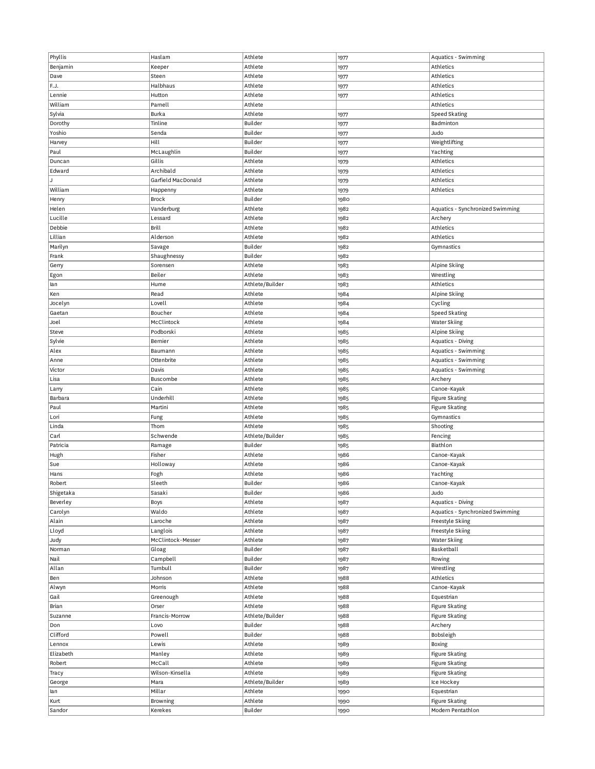| Phyllis        | Haslam              | Athlete            | 1977         | Aquatics - Swimming                        |
|----------------|---------------------|--------------------|--------------|--------------------------------------------|
| Benjamin       | Keeper              | Athlete            | 1977         | Athletics                                  |
| Dave           | Steen               | Athlete            | 1977         | Athletics                                  |
| F.J.           | Halbhaus            | Athlete            | 1977         | Athletics                                  |
| Lennie         | Hutton              | Athlete            | 1977         | Athletics                                  |
| William        | Parnell             |                    |              | Athletics                                  |
|                |                     | Athlete            |              |                                            |
| Sylvia         | Burka               | Athlete            | 1977         | Speed Skating                              |
| Dorothy        | Tinline             | Builder            | 1977         | Badminton                                  |
| Yoshio         | Senda               | Builder            | 1977         | Judo                                       |
| Harvey         | Hill                | Builder            | 1977         | Weightlifting                              |
| Paul           | McLaughlin          | Builder            | 1977         | Yachting                                   |
| Duncan         | Gillis              | Athlete            | 1979         | Athletics                                  |
| Edward         | Archibald           | Athlete            |              | Athletics                                  |
| $\overline{1}$ | Garfield MacDonald  |                    | 1979         |                                            |
|                |                     | Athlete            | 1979         | Athletics                                  |
| William        | Happenny            | Athlete            | 1979         | Athletics                                  |
| Henry          | Brock               | Builder            | 1980         |                                            |
| Helen          | Vanderburg          | Athlete            | 1982         | Aquatics - Synchronized Swimming           |
| Lucille        | Lessard             | Athlete            | 1982         | Archery                                    |
| Debbie         | Brill               | Athlete            | 1982         | Athletics                                  |
| Lillian        | Alderson            | Athlete            | 1982         | Athletics                                  |
| Marilyn        | Savage              | Builder            | 1982         | Gymnastics                                 |
|                |                     | Builder            |              |                                            |
| Frank          | Shaughnessy         |                    | 1982         |                                            |
| Gerry          | Sorensen            | Athlete            | 1983         | Alpine Skiing                              |
| Egon           | Beiler              | Athlete            | 1983         | Wrestling                                  |
| lan            | Hume                | Athlete/Builder    | 1983         | Athletics                                  |
| Ken            | Read                | Athlete            | 1984         | Alpine Skiing                              |
| Jocelyn        | Lovell              | Athlete            | 1984         | Cycling                                    |
| Gaetan         | Boucher             | Athlete            | 1984         | Speed Skating                              |
| Joel           | McClintock          | Athlete            | 1984         | Water Skiing                               |
| Steve          | Podborski           | Athlete            | 1985         | Alpine Skiing                              |
| Sylvie         | Bernier             | Athlete            | 1985         | <b>Aquatics - Diving</b>                   |
| Alex           | Baumann             | Athlete            |              | Aquatics - Swimming                        |
|                |                     |                    | 1985         |                                            |
| Anne           | Ottenbrite          | Athlete            | 1985         | Aquatics - Swimming                        |
| Victor         | Davis               | Athlete            | 1985         | Aquatics - Swimming                        |
| Lisa           | Buscombe            | Athlete            | 1985         | Archery                                    |
| Larry          | Cain                | Athlete            | 1985         | Canoe-Kayak                                |
| Barbara        | Underhill           | Athlete            | 1985         | Figure Skating                             |
| Paul           | Martini             | Athlete            | 1985         | Figure Skating                             |
| Lori           | Fung                | Athlete            | 1985         | Gymnastics                                 |
| Linda          | Thom                | Athlete            | 1985         | Shooting                                   |
| Carl           | Schwende            | Athlete/Builder    | 1985         | Fencing                                    |
| Patricia       | Ramage              | Builder            | 1985         | Biathlon                                   |
| Hugh           | Fisher              | Athlete            | 1986         | Canoe-Kayak                                |
| Sue            | Holloway            | Athlete            | 1986         | Canoe-Kayak                                |
|                |                     |                    |              |                                            |
| Hans           | Fogh                | Athlete            | 1986         | Yachting                                   |
| Robert         | Sleeth              | Builder            | 1986         | Canoe-Kayak                                |
| Shigetaka      | Sasaki              | Builder            | 1986         | Judo                                       |
| Beverley       | Boys                | Athlete            | 1987         | <b>Aquatics - Diving</b>                   |
| Carolyn        | Waldo               | Athlete            | 1987         | Aquatics - Synchronized Swimming           |
| Alain          | Laroche             | Athlete            | 1987         | Freestyle Skiing                           |
| Lloyd          | Langlois            | Athlete            | 1987         | Freestyle Skiing                           |
| Judy           | McClintock-Messer   | Athlete            | 1987         | Water Skiing                               |
| Norman         | Gloag               | Builder            | 1987         | Basketball                                 |
| Nail           | Campbell            | Builder            |              |                                            |
|                |                     |                    | 1987         | Rowing                                     |
| Allan          | Turnbull            | Builder            | 1987         | Wrestling                                  |
| Ben            | Johnson             | Athlete            | 1988         | Athletics                                  |
| Alwyn          | Morris              | Athlete            | 1988         | Canoe-Kayak                                |
| Gail           | Greenough           | Athlete            | 1988         | Equestrian                                 |
| Brian          | Orser               | Athlete            | 1988         | <b>Figure Skating</b>                      |
| Suzanne        | Francis-Morrow      | Athlete/Builder    | 1988         | <b>Figure Skating</b>                      |
| Don            | Lovo                | Builder            | 1988         | Archery                                    |
| Clifford       | Powell              | Builder            | 1988         | Bobsleigh                                  |
| Lennox         | Lewis               | Athlete            | 1989         | Boxing                                     |
| Elizabeth      | Manley              | Athlete            | 1989         | <b>Figure Skating</b>                      |
| Robert         | McCall              | Athlete            | 1989         | <b>Figure Skating</b>                      |
|                |                     |                    |              |                                            |
| Tracy          | Wilson-Kinsella     | Athlete            | 1989         | <b>Figure Skating</b>                      |
| George         | Mara                | Athlete/Builder    | 1989         | Ice Hockey                                 |
| lan            | Millar              | Athlete            | 1990         | Equestrian                                 |
| Kurt           |                     |                    |              |                                            |
| Sandor         | Browning<br>Kerekes | Athlete<br>Builder | 1990<br>1990 | <b>Figure Skating</b><br>Modern Pentathlon |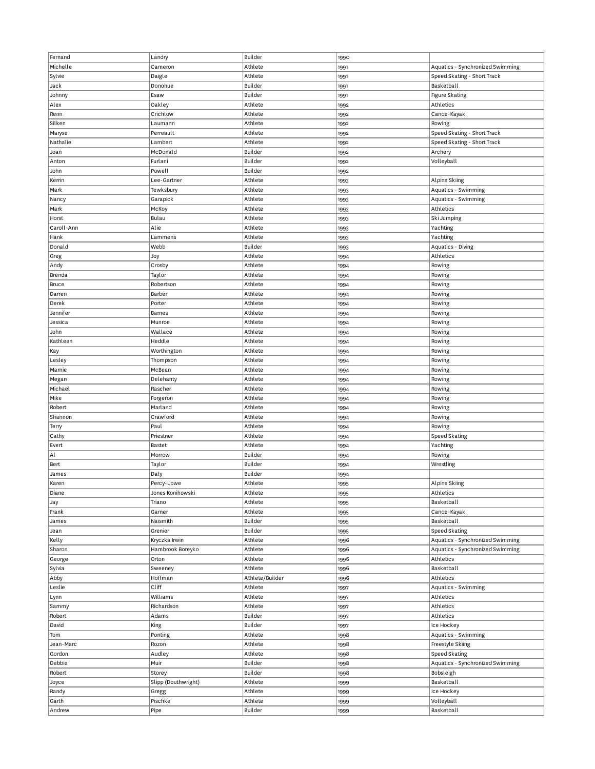| Fernand    | Landry              | Builder         | 1990 |                                  |
|------------|---------------------|-----------------|------|----------------------------------|
| Michelle   | Cameron             | Athlete         | 1991 | Aquatics - Synchronized Swimming |
|            |                     |                 |      |                                  |
| Sylvie     | Daigle              | Athlete         | 1991 | Speed Skating - Short Track      |
| Jack       | Donohue             | Builder         | 1991 | Basketball                       |
| Johnny     | Esaw                | Builder         | 1991 | Figure Skating                   |
| Alex       | Oakley              | Athlete         | 1992 | Athletics                        |
| Renn       | Crichlow            | Athlete         | 1992 | Canoe-Kayak                      |
|            |                     |                 |      |                                  |
| Silken     | Laumann             | Athlete         | 1992 | Rowing                           |
| Maryse     | Perreault           | Athlete         | 1992 | Speed Skating - Short Track      |
| Nathalie   | Lambert             | Athlete         | 1992 | Speed Skating - Short Track      |
| Joan       | McDonald            | Builder         | 1992 | Archery                          |
| Anton      | Furlani             | Builder         |      | Volleyball                       |
|            |                     |                 | 1992 |                                  |
| John       | Powell              | Builder         | 1992 |                                  |
| Kerrin     | Lee-Gartner         | Athlete         | 1993 | Alpine Skiing                    |
| Mark       | Tewksbury           | Athlete         | 1993 | Aquatics - Swimming              |
| Nancy      | Garapick            | Athlete         | 1993 | Aquatics - Swimming              |
|            |                     |                 |      |                                  |
| Mark       | McKoy               | Athlete         | 1993 | Athletics                        |
| Horst      | Bulau               | Athlete         | 1993 | Ski Jumping                      |
| Caroll-Ann | Alie                | Athlete         | 1993 | Yachting                         |
| Hank       | Lammens             | Athlete         | 1993 | Yachting                         |
| Donald     | Webb                | Builder         | 1993 | Aquatics - Diving                |
|            |                     |                 |      |                                  |
| Greg       | Joy                 | Athlete         | 1994 | Athletics                        |
| Andy       | Crosby              | Athlete         | 1994 | Rowing                           |
| Brenda     | Taylor              | Athlete         | 1994 | Rowing                           |
| Bruce      | Robertson           | Athlete         | 1994 | Rowing                           |
|            | Barber              | Athlete         |      |                                  |
| Darren     |                     |                 | 1994 | Rowing                           |
| Derek      | Porter              | Athlete         | 1994 | Rowing                           |
| Jennifer   | Barnes              | Athlete         | 1994 | Rowing                           |
| Jessica    | Munroe              | Athlete         | 1994 | Rowing                           |
| John       | Wallace             | Athlete         | 1994 | Rowing                           |
|            |                     |                 |      |                                  |
| Kathleen   | Heddle              | Athlete         | 1994 | Rowing                           |
| Kay        | Worthington         | Athlete         | 1994 | Rowing                           |
| Lesley     | Thompson            | Athlete         | 1994 | Rowing                           |
| Marnie     | McBean              | Athlete         | 1994 | Rowing                           |
| Megan      | Delehanty           | Athlete         | 1994 | Rowing                           |
|            |                     |                 |      |                                  |
| Michael    | Rascher             | Athlete         | 1994 | Rowing                           |
| Mike       | Forgeron            | Athlete         | 1994 | Rowing                           |
| Robert     | Marland             | Athlete         | 1994 | Rowing                           |
| Shannon    | Crawford            | Athlete         | 1994 | Rowing                           |
|            | Paul                |                 |      |                                  |
| Terry      |                     | Athlete         | 1994 | Rowing                           |
| Cathy      | Priestner           | Athlete         | 1994 | Speed Skating                    |
| Evert      | Bastet              | Athlete         | 1994 | Yachting                         |
| Al         | Morrow              | Builder         | 1994 | Rowing                           |
| Bert       | Taylor              | Builder         | 1994 | Wrestling                        |
|            |                     |                 |      |                                  |
| James      | Daly                | Builder         | 1994 |                                  |
| Karen      | Percy-Lowe          | Athlete         | 1995 | Alpine Skiing                    |
| Diane      | Jones Konihowski    | Athlete         | 1995 | Athletics                        |
| Jay        | Triano              | Athlete         | 1995 | Basketball                       |
| Frank      | Garner              | Athlete         |      | Canoe-Kayak                      |
|            |                     |                 | 1995 |                                  |
| James      | Naismith            | Builder         | 1995 | Basketball                       |
| Jean       | Grenier             | Builder         | 1995 | Speed Skating                    |
| Kelly      | Kryczka Irwin       | Athlete         | 1996 | Aquatics - Synchronized Swimming |
| Sharon     | Hambrook Boreyko    | Athlete         | 1996 | Aquatics - Synchronized Swimming |
|            |                     |                 |      |                                  |
| George     | Orton               | Athlete         | 1996 | Athletics                        |
| Sylvia     | Sweeney             | Athlete         | 1996 | Basketball                       |
| Abby       | Hoffman             | Athlete/Builder | 1996 | Athletics                        |
| Leslie     | Cliff               | Athlete         | 1997 | Aquatics - Swimming              |
| Lynn       | Williams            | Athlete         | 1997 | Athletics                        |
|            |                     |                 |      |                                  |
| Sammy      | Richardson          | Athlete         | 1997 | Athletics                        |
| Robert     | Adams               | Builder         | 1997 | Athletics                        |
| David      | King                | Builder         | 1997 | Ice Hockey                       |
| Tom        | Ponting             | Athlete         | 1998 | Aquatics - Swimming              |
| Jean-Marc  | Rozon               | Athlete         |      |                                  |
|            |                     |                 | 1998 | Freestyle Skiing                 |
| Gordon     | Audley              | Athlete         | 1998 | Speed Skating                    |
| Debbie     | Muir                | Builder         | 1998 | Aquatics - Synchronized Swimming |
| Robert     | Storey              | Builder         | 1998 | Bobsleigh                        |
| Joyce      | Slipp (Douthwright) | Athlete         | 1999 | Basketball                       |
|            |                     |                 |      |                                  |
| Randy      | Gregg               | Athlete         | 1999 | Ice Hockey                       |
| Garth      | Pischke             | Athlete         | 1999 | Volleyball                       |
| Andrew     | Pipe                | Builder         | 1999 | Basketball                       |
|            |                     |                 |      |                                  |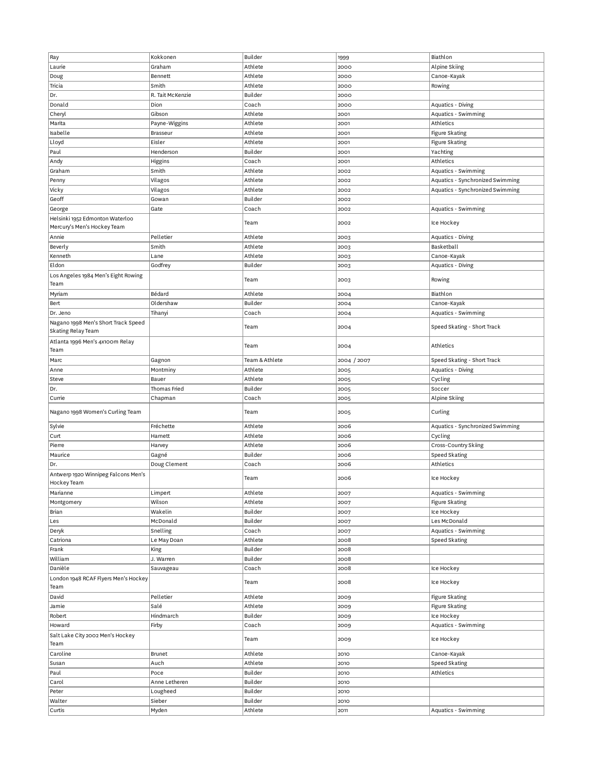| Ray                                                | Kokkonen         | Builder        | 1999        | Biathlon                         |
|----------------------------------------------------|------------------|----------------|-------------|----------------------------------|
| Laurie                                             | Graham           | Athlete        | 2000        | Alpine Skiing                    |
|                                                    |                  |                |             |                                  |
| Doug                                               | Bennett          | Athlete        | 2000        | Canoe-Kayak                      |
| Tricia                                             | Smith            | Athlete        | 2000        | Rowing                           |
| Dr.                                                | R. Tait McKenzie | Builder        | 2000        |                                  |
| Donald                                             | Dion             | Coach          | 2000        | Aquatics - Diving                |
| Cheryl                                             | Gibson           | Athlete        | 2001        | Aquatics - Swimming              |
| Marita                                             | Payne-Wiggins    | Athlete        | 2001        | Athletics                        |
| Isabelle                                           | Brasseur         | Athlete        | 2001        | <b>Figure Skating</b>            |
| Lloyd                                              | Eisler           | Athlete        | 2001        | <b>Figure Skating</b>            |
|                                                    |                  |                |             |                                  |
| Paul                                               | Henderson        | Builder        | 2001        | Yachting                         |
| Andy                                               | Higgins          | Coach          | 2001        | Athletics                        |
| Graham                                             | Smith            | Athlete        | 2002        | Aquatics - Swimming              |
| Penny                                              | Vilagos          | Athlete        | 2002        | Aquatics - Synchronized Swimming |
| Vicky                                              | Vilagos          | Athlete        | 2002        | Aquatics - Synchronized Swimming |
| Geoff                                              | Gowan            | Builder        | 2002        |                                  |
| George                                             | Gate             | Coach          | 2002        | Aquatics - Swimming              |
| Helsinki 1952 Edmonton Waterloo                    |                  |                |             |                                  |
| Mercury's Men's Hockey Team                        |                  | Team           | 2002        | Ice Hockey                       |
|                                                    |                  |                |             |                                  |
| Annie                                              | Pelletier        | Athlete        | 2003        | Aquatics - Diving                |
| Beverly                                            | Smith            | Athlete        | 2003        | Basketball                       |
| Kenneth                                            | Lane             | Athlete        | 2003        | Canoe-Kayak                      |
| Eldon                                              | Godfrey          | Builder        | 2003        | Aquatics - Diving                |
| Los Angeles 1984 Men's Eight Rowing                |                  | Team           |             |                                  |
| Team                                               |                  |                | 2003        | Rowing                           |
| Myriam                                             | Bédard           | Athlete        | 2004        | Biathlon                         |
| Bert                                               | Oldershaw        | Builder        | 2004        | Canoe-Kayak                      |
| Dr. Jeno                                           | Tihanyi          | Coach          | 2004        | Aquatics - Swimming              |
| Nagano 1998 Men's Short Track Speed                |                  |                |             |                                  |
| Skating Relay Team                                 |                  | Team           | 2004        | Speed Skating - Short Track      |
| Atlanta 1996 Men's 4x100m Relay<br>Team            |                  | Team           | 2004        | Athletics                        |
| Marc                                               | Gagnon           | Team & Athlete | 2004 / 2007 | Speed Skating - Short Track      |
| Anne                                               | Montminy         | Athlete        | 2005        | <b>Aquatics - Diving</b>         |
| Steve                                              | Bauer            | Athlete        | 2005        | Cycling                          |
| Dr.                                                | Thomas Fried     | Builder        | 2005        | Soccer                           |
| Currie                                             | Chapman          | Coach          | 2005        | Alpine Skiing                    |
| Nagano 1998 Women's Curling Team                   |                  | Team           | 2005        | Curling                          |
|                                                    | Fréchette        | Athlete        | 2006        | Aquatics - Synchronized Swimming |
| Sylvie                                             |                  |                |             |                                  |
| Curt                                               | Harnett          | Athlete        | 2006        | Cycling                          |
| Pierre                                             | Harvey           | Athlete        | 2006        | Cross-Country Skiing             |
| Maurice                                            | Gagné            | Builder        | 2006        | Speed Skating                    |
| Dr.                                                | Doug Clement     | Coach          | 2006        | Athletics                        |
| Antwerp 1920 Winnipeg Falcons Men's<br>Hockey Team |                  | Team           | 2006        | Ice Hockey                       |
| Marianne                                           | Limpert          | Athlete        | 2007        | Aquatics - Swimming              |
| Montgomery                                         | Wilson           | Athlete        | 2007        | Figure Skating                   |
|                                                    | Wakelin          | Builder        |             |                                  |
| Brian                                              | McDonald         |                | 2007        | Ice Hockey                       |
| Les                                                |                  | Builder        | 2007        | Les McDonald                     |
| Deryk                                              |                  |                |             |                                  |
| Catriona                                           | Snelling         | Coach          | 2007        | Aquatics - Swimming              |
|                                                    | Le May Doan      | Athlete        | 2008        | Speed Skating                    |
| Frank                                              | King             | Builder        | 2008        |                                  |
| William                                            | J. Warren        | Builder        | 2008        |                                  |
| Danièle                                            | Sauvageau        | Coach          | 2008        | Ice Hockey                       |
| London 1948 RCAF Flyers Men's Hockey<br>Team       |                  | Team           | 2008        | Ice Hockey                       |
| David                                              | Pelletier        | Athlete        | 2009        | <b>Figure Skating</b>            |
| Jamie                                              | Salé             |                |             |                                  |
|                                                    |                  | Athlete        | 2009        | Figure Skating                   |
| Robert                                             | Hindmarch        | Builder        | 2009        | Ice Hockey                       |
| Howard                                             | Firby            | Coach          | 2009        | Aquatics - Swimming              |
| Salt Lake City 2002 Men's Hockey<br>Team           |                  | Team           | 2009        | Ice Hockey                       |
| Caroline                                           | Brunet           | Athlete        | 2010        | Canoe-Kayak                      |
| Susan                                              | Auch             | Athlete        | 2010        | Speed Skating                    |
| Paul                                               | Poce             | Builder        | 2010        | Athletics                        |
| Carol                                              | Anne Letheren    | Builder        | 2010        |                                  |
| Peter                                              | Lougheed         | Builder        | 2010        |                                  |
| Walter                                             | Sieber           | Builder        | 2010        |                                  |
| Curtis                                             | Myden            | Athlete        | 2011        | Aquatics - Swimming              |